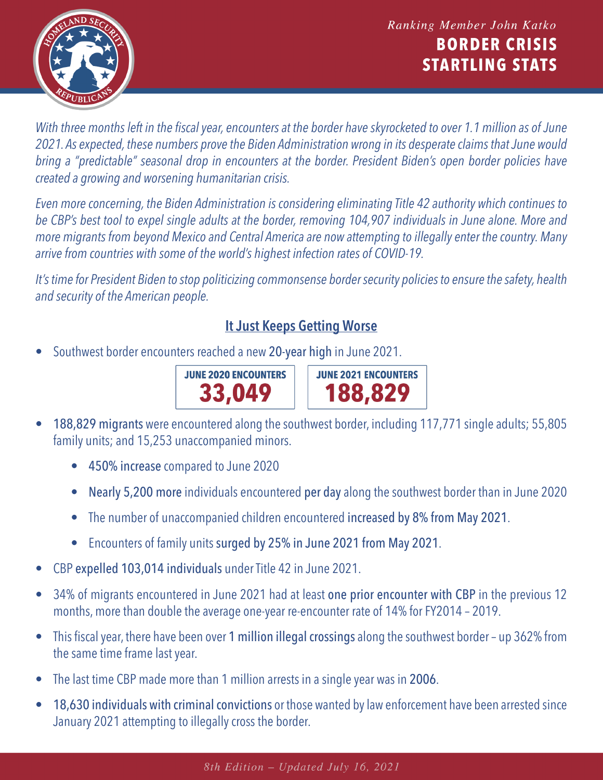

*With three months left in the fiscal year, encounters at the border have skyrocketed to over 1.1 million as of June 2021. As expected, these numbers prove the Biden Administration wrong in its desperate claims that June would bring a "predictable" seasonal drop in encounters at the border. President Biden's open border policies have created a growing and worsening humanitarian crisis.*

*Even more concerning, the Biden Administration is considering eliminating [Title 42 authority which continues to](https://republicans-homeland.house.gov/new-factsheet-ending-title-42-now-will-jeopardize-post-pandemic-recovery/)  be CBP's best tool to expel single adults at the border, removing 104,907 individuals in June alone. More and more migrants from beyond Mexico and Central America are now attempting to illegally enter the country. Many arrive from countries with some of the world's highest infection rates of COVID-19.*

*It's time for President Biden to stop politicizing commonsense border security policies to ensure the safety, health and security of the American people.* 

## **It Just Keeps Getting Worse**

• Southwest border encounters reached a new [20-year high](https://www.cbp.gov/sites/default/files/assets/documents/2020-Jan/U.S. Border Patrol Monthly Apprehensions %28FY 2000 - FY 2019%29_1.pdf) in June 2021.



**JUNE 2021 ENCOUNTERS** 188,829

- 188,829 migrants were [encountered al](https://www.cbp.gov/newsroom/stats/southwest-land-border-encounters)ong the southwest border, including 117,771 single adults; 55,805 family units; and 15,253 unaccompanied minors.
	- 450% increase compared to June 2020
	- Nearly 5,200 more individuals encountered per day along the southwest border than in June 2020
	- The number of unaccompanied children encountered increased by 8% from May 2021.
	- Encounters of family units surged by 25% in June 2021 from May 2021.
- CBP expelled 103,014 individuals unde[r Title 42 in](https://www.cbp.gov/newsroom/national-media-release/cbp-announces-may-2021-operational-update) June 2021.
- [34% of migrants en](https://www.cbp.gov/newsroom/national-media-release/cbp-announces-june-2021-operational-update)countered in June 2021 had at least one prior encounter with CBP in the previous 12 months, more than double the average one-year re-encounter rate of 14% for FY2014 – 2019.
- [This fiscal year, th](https://www.cbp.gov/newsroom/stats/southwest-land-border-encounters)ere have been over 1 million illegal crossings along the southwest border up 362% from the same time frame last year.
- The last time CBP made more than 1 million arrests in a single year was in 2006.
- 18,630 individuals with criminal convictions or those wanted by law enforcement have been arrested since January 2021 attempting to illegally cross the border.